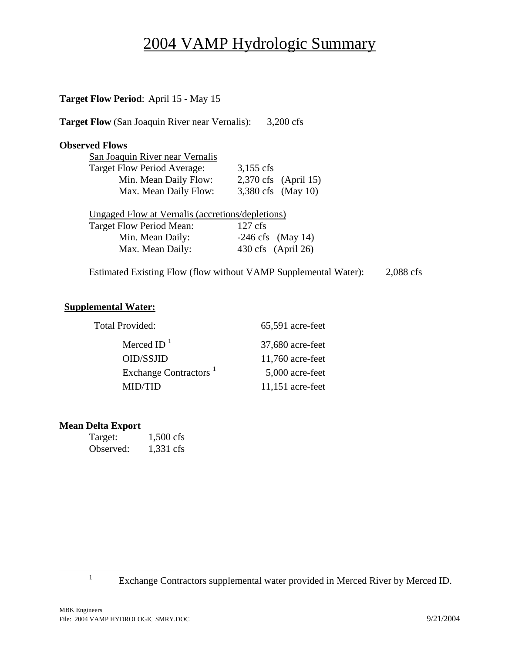# 2004 VAMP Hydrologic Summary

### **Target Flow Period**: April 15 - May 15

**Target Flow (San Joaquin River near Vernalis): 3,200 cfs** 

#### **Observed Flows**

| San Joaquin River near Vernalis |                    |                      |
|---------------------------------|--------------------|----------------------|
| Target Flow Period Average:     | $3,155$ cfs        |                      |
| Min. Mean Daily Flow:           |                    | 2,370 cfs (April 15) |
| Max. Mean Daily Flow:           | 3,380 cfs (May 10) |                      |

Ungaged Flow at Vernalis (accretions/depletions) Target Flow Period Mean: 127 cfs Min. Mean Daily:  $-246 \text{ cfs}$  (May 14) Max. Mean Daily: 430 cfs (April 26)

Estimated Existing Flow (flow without VAMP Supplemental Water): 2,088 cfs

 $65,591$  acre-feet

 37,680 acre-feet  $11,760$  acre-feet

 5,000 acre-feet  $11,151$  acre-feet

#### **Supplemental Water:**

| Merced ID $^1$                    |
|-----------------------------------|
| OID/SSJID                         |
| Exchange Contractors <sup>1</sup> |
| <b>MID/TID</b>                    |

#### **Mean Delta Export**

| Target:   | $1,500$ cfs |
|-----------|-------------|
| Observed: | 1,331 cfs   |

<u>1</u>

 $\frac{1}{1}$  Exchange Contractors supplemental water provided in Merced River by Merced ID.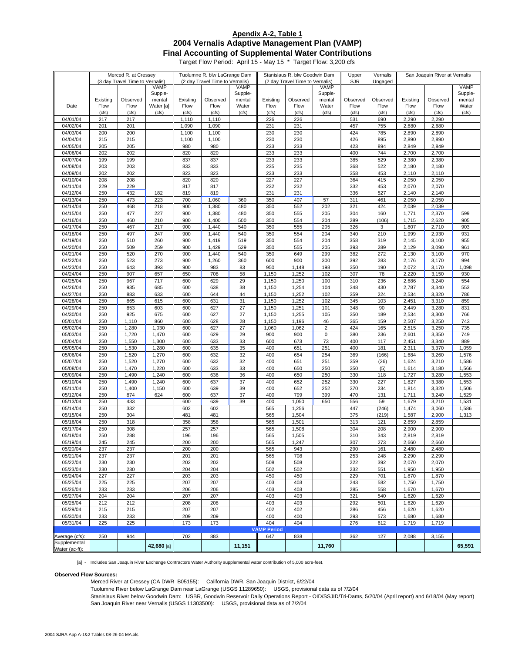#### **2004 Vernalis Adaptive Management Plan (VAMP) Final Accounting of Supplemental Water Contributions Apendix A-2, Table 1**

Target Flow Period: April 15 - May 15 \* Target Flow: 3,200 cfs

|                       | Merced R. at Cressey |                                 |             |          | Tuolumne R. blw LaGrange Dam    |             | Stanislaus R. blw Goodwin Dam |                                 | Upper          | Vernalis | San Joaquin River at Vernalis |                |          |             |
|-----------------------|----------------------|---------------------------------|-------------|----------|---------------------------------|-------------|-------------------------------|---------------------------------|----------------|----------|-------------------------------|----------------|----------|-------------|
|                       |                      | (3 day Travel Time to Vernalis) |             |          | (2 day Travel Time to Vernalis) |             |                               | (2 day Travel Time to Vernalis) |                | SJR      | Ungaged                       |                |          |             |
|                       |                      |                                 | <b>VAMP</b> |          |                                 | <b>VAMP</b> |                               |                                 | <b>VAMP</b>    |          |                               |                |          | <b>VAMP</b> |
|                       |                      |                                 | Supple-     |          |                                 | Supple-     |                               |                                 | Supple-        |          |                               |                |          | Supple-     |
|                       | Existing             | Observed                        | mental      | Existing | Observed                        | mental      | Existing                      | Observed                        | mental         | Observed | Observed                      | Existing       | Observed | mental      |
| Date                  | Flow                 | Flow                            | Water [a]   | Flow     | Flow                            | Water       | Flow                          | Flow                            | Water          | Flow     | Flow                          | Flow           | Flow     | Water       |
|                       | (cfs)                | (cfs)                           | (cfs)       | (cfs)    | (cfs)                           | (cfs)       | (cfs)                         | (cfs)                           | (cfs)          | (cfs)    | (cfs)                         | (cfs)          | (cfs)    | (cfs)       |
| $04/01/\overline{04}$ | 217                  | 217                             |             | 1,110    | 1,110                           |             | 226                           | 226                             |                | 531      | 690                           | 2,290          | 2,290    |             |
| 04/02/04              | 201                  | 201                             |             | 1,090    | 1,090                           |             | 231                           | 231                             |                | 457      | 755                           | 2,680          | 2,680    |             |
| 04/03/04              | 200                  | 200                             |             | 1,100    | 1,100                           |             | 230                           | 230                             |                | 424      | 785                           | 2,890          | 2,890    |             |
| 04/04/04              | 215                  | 215                             |             | 1,100    | 1,100                           |             | 230                           | 230                             |                | 426      | 895                           | 2,890          | 2,890    |             |
| 04/05/04              | 205                  | 205                             |             | 980      | 980                             |             | 233                           | 233                             |                | 423      | 894                           | 2,849          | 2,849    |             |
| 04/06/04              | 202                  | 202                             |             | 820      | 820                             |             | 233                           | 233                             |                | 400      | 744                           | 2,700          | 2,700    |             |
| 04/07/04              | 199                  | 199                             |             | 837      | 837                             |             | 233                           | 233                             |                | 385      | 529                           | 2,380          | 2,380    |             |
| 04/08/04              | 203                  | 203                             |             | 833      | 833                             |             | 235                           | 235                             |                | 368      | 522                           | 2,180          | 2,180    |             |
| 04/09/04              | 202                  | 202                             |             | 823      | 823                             |             | 233                           | 233                             |                | 358      | 453                           | 2,110          | 2,110    |             |
| 04/10/04              | 208                  | 208                             |             | 820      | 820                             |             | 227                           | 227                             |                | 364      | 415                           | 2,050          | 2,050    |             |
| 04/11/04              | 229                  | 229                             |             | 817      | 817                             |             | 232                           | 232                             |                | 332      | 453                           | 2,070          | 2,070    |             |
| 04/12/04              | 250                  | 432                             | 182         | 819      | 819                             |             | 231                           | 231                             |                | 336      | 527                           | 2,140          | 2,140    |             |
| 04/13/04              | 250                  | 473                             | 223         | 700      | 1,060                           | 360         | 350                           | 407                             | 57             | 311      | 461                           | 2,050          | 2,050    |             |
| 04/14/04              | 250                  | 468                             | 218         | 900      | 1,380                           | 480         | 350                           | 552                             | 202            | 321      | 424                           | 2,039          | 2,039    |             |
| 04/15/04              | 250                  | 477                             | 227         | 900      | 1,380                           | 480         | 350                           | 555                             | 205            | 304      | 160                           | 1,771          | 2,370    | 599         |
| 04/16/04              | 250                  | 460                             | 210         | 900      | 1,400                           | 500         | 350                           | 554                             | 204            | 289      | (106)                         | 1,715          | 2,620    | 905         |
| 04/17/04              | 250                  | 467                             | 217         | 900      | 1,440                           | 540         | 350                           | 555                             | 205            | 326      | 3                             | 1,807          | 2,710    | 903         |
| 04/18/04              | 250                  | 497                             | 247         | 900      | 1,440                           | 540         | 350                           | 554                             | 204            | 340      | 210                           | 1,999          | 2,930    | 931         |
| 04/19/04              | 250                  | 510                             | 260         | 900      | 1,419                           | 519         | 350                           | 554                             | 204            | 358      | 319                           | 2,145          | 3,100    | 955         |
| 04/20/04              | 250                  | 509                             | 259         | 900      | 1,429                           | 529         | 350                           | 555                             | 205            | 393      | 289                           | 2,129          | 3,090    | 961         |
| 04/21/04              | 250                  | 520                             | 270         | 900      | 1,440                           | 540         | 350                           | 649                             | 299            | 382      | 272                           | 2,130          | 3,100    | 970         |
| 04/22/04              | 250                  | 523                             | 273         | 900      | 1,260                           | 360         | 600                           | 900                             | 300            | 392      | 283                           | 2,176          | 3,170    | 994         |
| 04/23/04              | 250                  | 643                             | 393         | 900      | 983                             | 83          | 950                           | 1,148                           | 198            | 350      | 190                           | 2,072          | 3,170    | 1,098       |
| 04/24/04              | 250                  | 907                             | 657         | 650      | 708                             | 58          | 1,150                         | 1,252                           | 102            | 307      | 78                            | 2,220          | 3,150    | 930         |
| 04/25/04              | 250                  | 967                             | 717         | 600      | 629                             | 29          | 1,150                         | 1,250                           | 100            | 310      | 236                           | 2,686          | 3,240    | 554         |
| 04/26/04              | 250                  | 935                             | 685         | 600      | 638                             | 38          | 1,150                         | 1,254                           | 104            | 348      | 430                           | 2,787          | 3,340    | 553         |
| 04/27/04              | 250                  | 883                             | 633         | 600      | 644                             | 44          | 1,150                         | 1,252                           | 102            | 359      | 224                           | 2,534          | 3,320    | 786         |
| 04/28/04              | 250                  | 865                             | 615         | 600      | 631                             | 31          | 1,150                         | 1,252                           | 102            | 345      | 103                           | 2,451          | 3,310    | 859         |
| 04/29/04              | 250                  | 853                             | 603         | 600      | 627                             | 27          | 1,150                         | 1,251                           | 101            | 348      | 90                            | 2,449          | 3,280    | 831         |
| 04/30/04              | 250                  | 925                             | 675         | 600      | 627                             | 27          | 1,150                         | 1,255                           | 105            | 350      | 189                           | 2,534          | 3,300    | 766         |
| 05/01/04              | 250                  | 1,110                           | 860         | 600      | 628                             | 28          | 1,150                         | 1,196                           | 46             | 365      | 159                           | 2,507          | 3,250    | 743         |
| 05/02/04              | 250                  | 1,280                           | 1,030       | 600      | 627                             | 27          | 1,060                         | 1,062                           | $\overline{2}$ | 424      | 165                           | 2,515          | 3,250    | 735         |
| 05/03/04              | 250                  | 1,720                           | 1,470       | 600      | 629                             | 29          | 900                           | 900                             | $\mathbf 0$    | 380      | 236                           | 2,601          | 3,350    | 749         |
| 05/04/04              | 250                  | 1,550                           | 1,300       | 600      | 633                             | 33          | 600                           | 673                             | 73             | 400      | 117                           | 2,451          | 3,340    | 889         |
| 05/05/04              | 250                  | 1,530                           | 1,280       | 600      | 635                             | 35          | 400                           | 651                             | 251            | 400      | 181                           | 2,311          | 3,370    | 1,059       |
| 05/06/04              | 250                  | 1,520                           | 1,270       | 600      | 632                             | 32          | 400                           | 654                             | 254            | 369      | (166)                         | 1,684          | 3,260    | 1,576       |
| 05/07/04              | 250                  | 1,520                           | 1,270       | 600      | 632                             | 32          | 400                           | 651                             | 251            | 359      | (26)                          | 1,624          | 3,210    | 1,586       |
| 05/08/04              | 250                  | 1,470                           | 1,220       | 600      | 633                             | 33          | 400                           | 650                             | 250            | 350      | (5)                           | 1,614          | 3,180    | 1,566       |
| 05/09/04              | 250                  | 1,490                           | 1,240       | 600      | 636                             | 36          | 400                           | 650                             | 250            | 330      | 118                           | 1,727          | 3,280    | 1,553       |
| 05/10/04              | 250                  | 1,490                           | 1,240       | 600      | 637                             | 37          | 400                           | 652                             | 252            | 330      | 227                           | 1,827          | 3,380    | 1,553       |
| 05/11/04              | 250                  | 1,400                           | 1,150       | 600      | 639                             | 39          | 400                           | 652                             | 252            | 370      | 234                           | 1,814          | 3,320    | 1,506       |
| 05/12/04              | 250                  | 874                             | 624         | 600      | 637                             | 37          | 400                           | 799                             | 399            | 470      | 131                           | 1,711          | 3,240    | 1,529       |
|                       | 250                  | 433                             |             | 600      | 639                             | 39          | 400                           | 1,050                           |                | 556      | 59                            |                | 3,210    | 1,531       |
| 05/13/04<br>05/14/04  | 250                  | 332                             |             | 602      | 602                             |             | 565                           | 1,256                           | 650            | 447      |                               | 1,679<br>1,474 | 3,060    |             |
|                       |                      | 304                             |             |          |                                 |             |                               |                                 |                |          | (246)                         |                |          | 1,586       |
| 05/15/04              | 250                  |                                 |             | 481      | 481                             |             | 565                           | 1,504                           |                | 375      | (219)                         | 1,587          | 2,900    | 1,313       |
| 05/16/04              | 250                  | 318                             |             | 358      | 358                             |             | 565                           | 1,501                           |                | 313      | 121                           | 2,859          | 2,859    |             |
| 05/17/04              | 250                  | 308                             |             | 257      | 257                             |             | 565                           | 1,508                           |                | 304      | 208                           | 2,900          | 2,900    |             |
| 05/18/04              | 250                  | 288                             |             | 196      | 196                             |             | 565                           | 1,505                           |                | 310      | 343                           | 2,819          | 2,819    |             |
| 05/19/04              | 245                  | 245                             |             | 200      | 200                             |             | 565                           | 1,247                           |                | 307      | 273                           | 2,660          | 2,660    |             |
| 05/20/04              | 237                  | 237                             |             | 200      | 200                             |             | 565                           | 943                             |                | 290      | 161                           | 2,480          | 2,480    |             |
| 05/21/04              | 237                  | 237                             |             | 201      | 201                             |             | 565                           | 708                             |                | 253      | 248                           | 2,290          | 2,290    |             |
| 05/22/04              | 230                  | 230                             |             | 202      | 202                             |             | 508                           | 508                             |                | 222      | 392                           | 2,070          | 2,070    |             |
| 05/23/04              | 230                  | 230                             |             | 204      | 204                             |             | 502                           | 502                             |                | 232      | 551                           | 1,950          | 1,950    |             |
| 05/24/04              | 227                  | 227                             |             | 203      | 203                             |             | 450                           | 450                             |                | 229      | 701                           | 1,870          | 1,870    |             |
| 05/25/04              | 225                  | 225                             |             | 207      | 207                             |             | 403                           | 403                             |                | 243      | 582                           | 1,750          | 1,750    |             |
| 05/26/04              | 233                  | 233                             |             | 206      | 206                             |             | 403                           | 403                             |                | 285      | 558                           | 1,670          | 1,670    |             |
| 05/27/04              | 204                  | 204                             |             | 207      | 207                             |             | 403                           | 403                             |                | 321      | 540                           | 1,620          | 1,620    |             |
| 05/28/04              | 212                  | 212                             |             | 208      | 208                             |             | 403                           | 403                             |                | 292      | 501                           | 1,620          | 1,620    |             |
| 05/29/04              | 215                  | 215                             |             | 207      | 207                             |             | 402                           | 402                             |                | 286      | 456                           | 1,620          | 1,620    |             |
| 05/30/04              | 233                  | 233                             |             | 209      | 209                             |             | 400                           | 400                             |                | 293      | 573                           | 1,680          | 1,680    |             |
| 05/31/04              | 225                  | 225                             |             | 173      | 173                             |             | 404                           | 404                             |                | 276      | 612                           | 1,719          | 1,719    |             |
|                       |                      |                                 |             |          |                                 |             | <b>VAMP Period</b>            |                                 |                |          |                               |                |          |             |
| Average (cfs):        | 250                  | 944                             |             | 702      | 883                             |             | 647                           | 838                             |                | 362      | 127                           | 2,088          | 3,155    |             |
| Supplemental          |                      |                                 | 42,680 [a]  |          |                                 | 11,151      |                               |                                 | 11,760         |          |                               |                |          | 65,591      |
| Water (ac-ft):        |                      |                                 |             |          |                                 |             |                               |                                 |                |          |                               |                |          |             |

[a] - Includes San Joaquin River Exchange Contractors Water Authority supplemental water contribution of 5,000 acre-feet.

#### **Observed Flow Sources:**

Merced River at Cressey (CA DWR B05155): California DWR, San Joaquin District, 6/22/04

Tuolumne River below LaGrange Dam near LaGrange (USGS 11289650): USGS, provisional data as of 7/2/04

Stanislaus River below Goodwin Dam: USBR, Goodwin Reservoir Daily Operations Report - OID/SSJID/Tri-Dams, 5/20/04 (April report) and 6/18/04 (May report) San Joaquin River near Vernalis (USGS 11303500): USGS, provisional data as of 7/2/04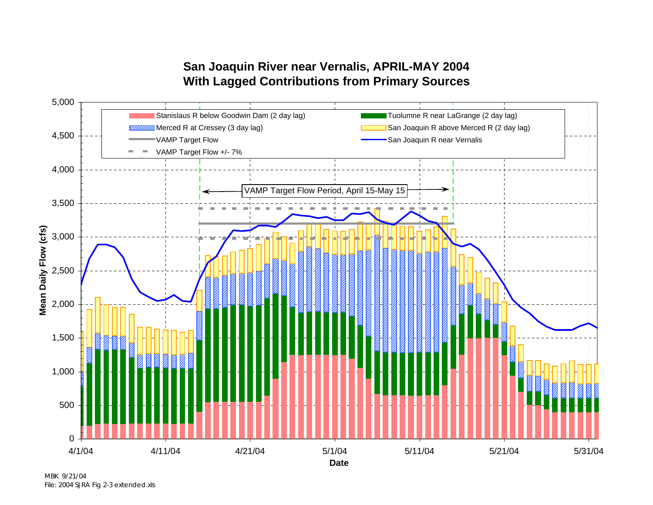## **San Joaquin River near Vernalis, APRIL-MAY 2004 With Lagged Contributions from Primary Sources**



MBK 9/21/04 File: 2004 SJRA Fig 2-3 extended.xls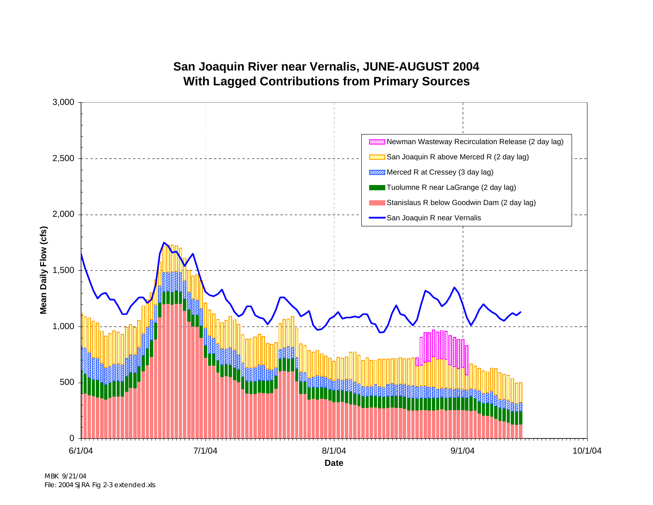

**San Joaquin River near Vernalis, JUNE-AUGUST 2004 With Lagged Contributions from Primary Sources**

MBK 9/21/04 File: 2004 SJRA Fig 2-3 extended.xls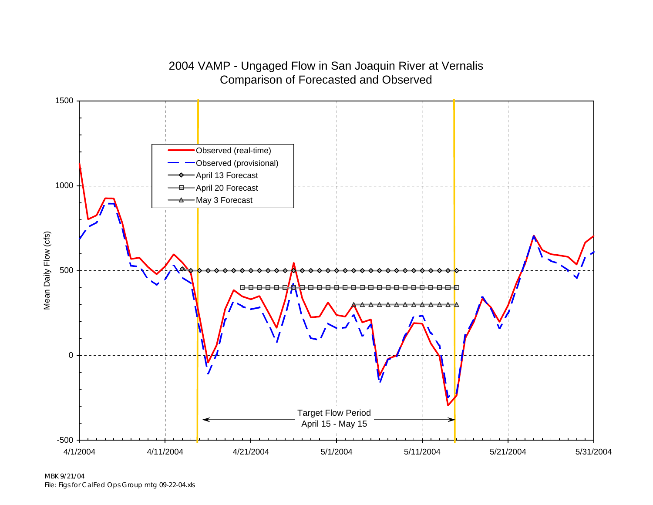

## 2004 VAMP - Ungaged Flow in San Joaquin River at Vernalis Comparison of Forecasted and Observed

MBK 9/21/04File: Figs for CalFed Ops Group mtg 09-22-04.xls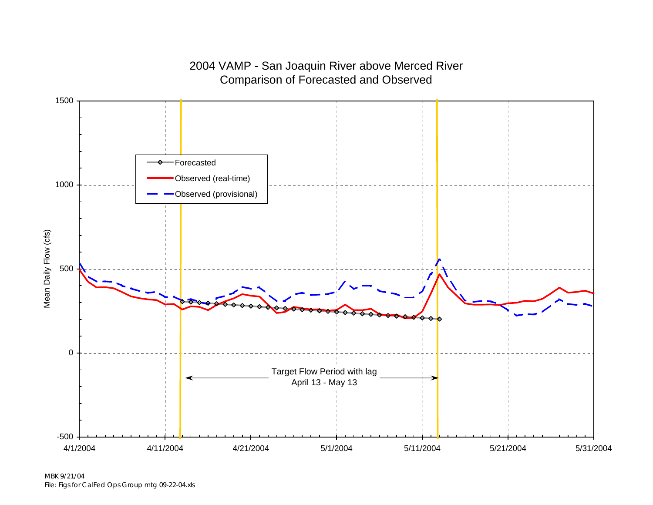

### 2004 VAMP - San Joaquin River above Merced River Comparison of Forecasted and Observed

MBK 9/21/04File: Figs for CalFed Ops Group mtg 09-22-04.xls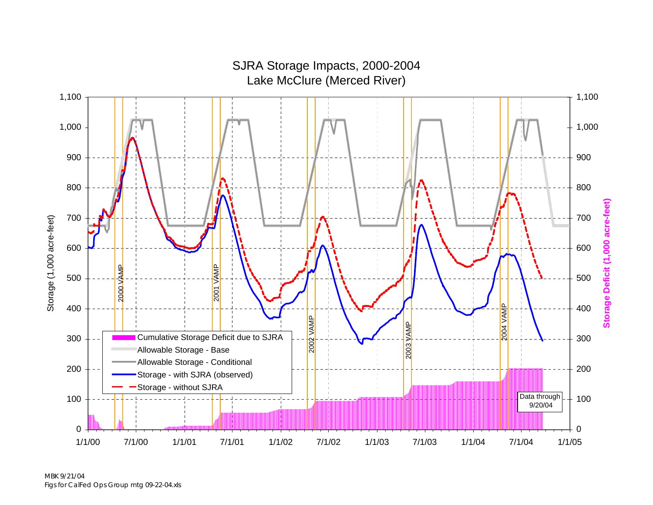

MBK 9/21/04 Figs for CalFed Ops Group mtg 09-22-04.xls